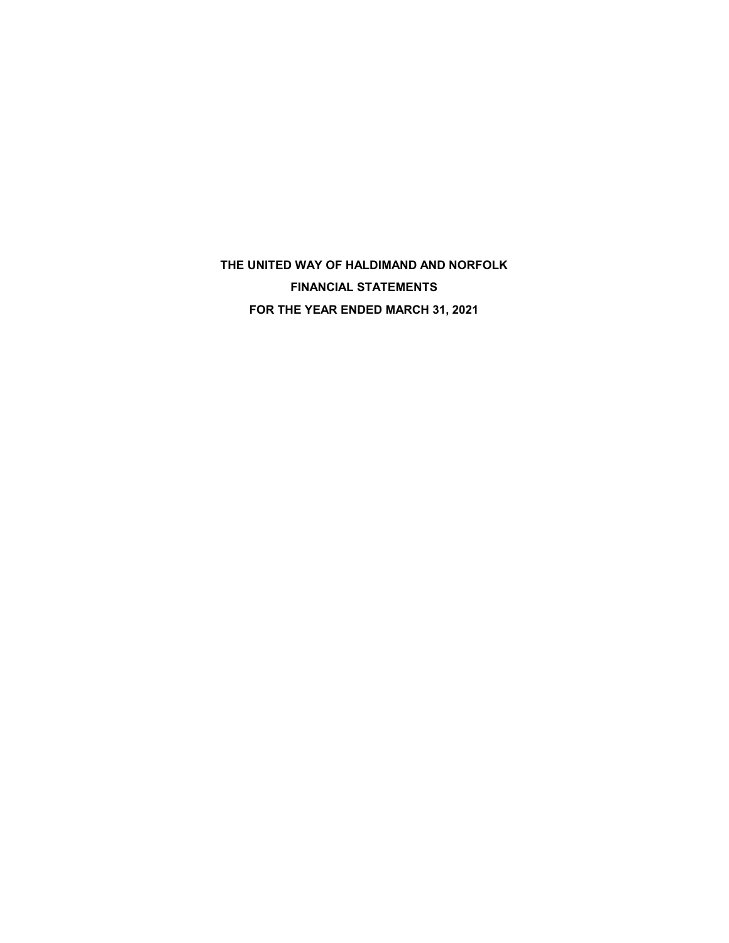**THE UNITED WAY OF HALDIMAND AND NORFOLK FINANCIAL STATEMENTS FOR THE YEAR ENDED MARCH 31, 2021**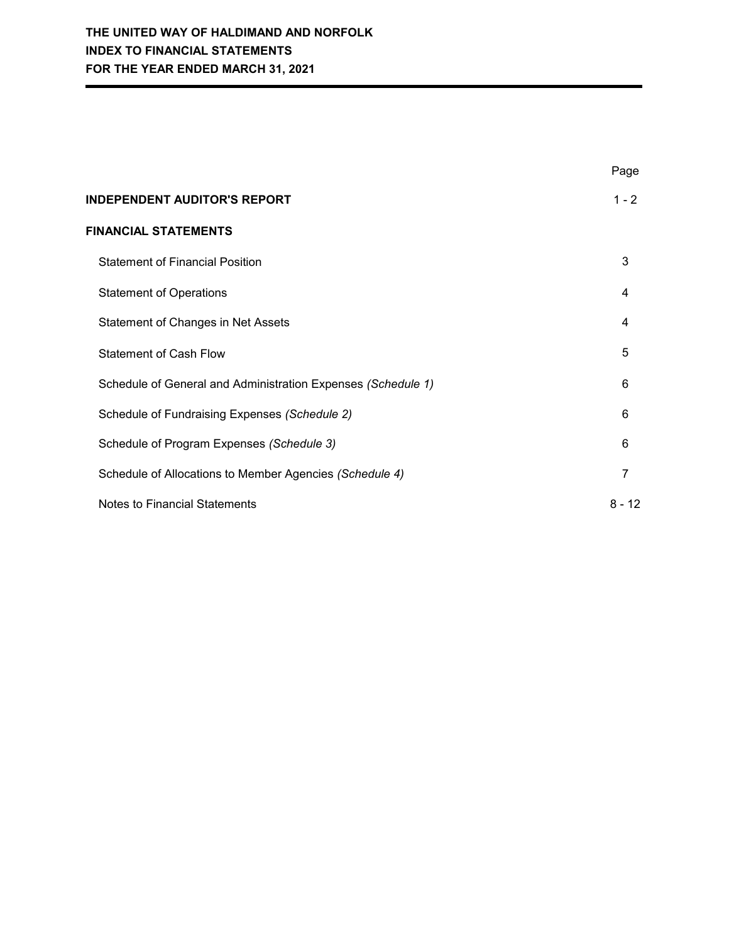|                                                              | Page     |
|--------------------------------------------------------------|----------|
| <b>INDEPENDENT AUDITOR'S REPORT</b>                          | $1 - 2$  |
| <b>FINANCIAL STATEMENTS</b>                                  |          |
| <b>Statement of Financial Position</b>                       | 3        |
| <b>Statement of Operations</b>                               | 4        |
| Statement of Changes in Net Assets                           | 4        |
| <b>Statement of Cash Flow</b>                                | 5        |
| Schedule of General and Administration Expenses (Schedule 1) | 6        |
| Schedule of Fundraising Expenses (Schedule 2)                | 6        |
| Schedule of Program Expenses (Schedule 3)                    | 6        |
| Schedule of Allocations to Member Agencies (Schedule 4)      | 7        |
| <b>Notes to Financial Statements</b>                         | $8 - 12$ |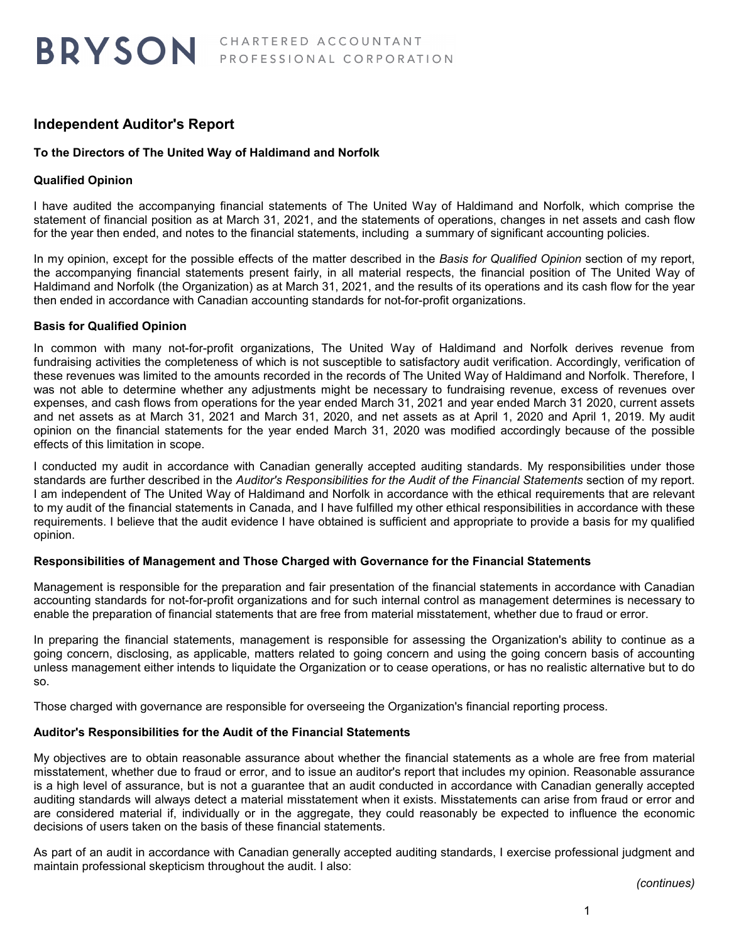# **Independent Auditor's Report**

# **To the Directors of The United Way of Haldimand and Norfolk**

# **Qualified Opinion**

I have audited the accompanying financial statements of The United Way of Haldimand and Norfolk, which comprise the statement of financial position as at March 31, 2021, and the statements of operations, changes in net assets and cash flow for the year then ended, and notes to the financial statements, including a summary of significant accounting policies.

In my opinion, except for the possible effects of the matter described in the *Basis for Qualified Opinion* section of my report, the accompanying financial statements present fairly, in all material respects, the financial position of The United Way of Haldimand and Norfolk (the Organization) as at March 31, 2021, and the results of its operations and its cash flow for the year then ended in accordance with Canadian accounting standards for not-for-profit organizations.

## **Basis for Qualified Opinion**

In common with many not-for-profit organizations, The United Way of Haldimand and Norfolk derives revenue from fundraising activities the completeness of which is not susceptible to satisfactory audit verification. Accordingly, verification of these revenues was limited to the amounts recorded in the records of The United Way of Haldimand and Norfolk. Therefore, I was not able to determine whether any adjustments might be necessary to fundraising revenue, excess of revenues over expenses, and cash flows from operations for the year ended March 31, 2021 and year ended March 31 2020, current assets and net assets as at March 31, 2021 and March 31, 2020, and net assets as at April 1, 2020 and April 1, 2019. My audit opinion on the financial statements for the year ended March 31, 2020 was modified accordingly because of the possible effects of this limitation in scope.

I conducted my audit in accordance with Canadian generally accepted auditing standards. My responsibilities under those standards are further described in the *Auditor's Responsibilities for the Audit of the Financial Statements* section of my report. I am independent of The United Way of Haldimand and Norfolk in accordance with the ethical requirements that are relevant to my audit of the financial statements in Canada, and I have fulfilled my other ethical responsibilities in accordance with these requirements. I believe that the audit evidence I have obtained is sufficient and appropriate to provide a basis for my qualified opinion.

## **Responsibilities of Management and Those Charged with Governance for the Financial Statements**

Management is responsible for the preparation and fair presentation of the financial statements in accordance with Canadian accounting standards for not-for-profit organizations and for such internal control as management determines is necessary to enable the preparation of financial statements that are free from material misstatement, whether due to fraud or error.

In preparing the financial statements, management is responsible for assessing the Organization's ability to continue as a going concern, disclosing, as applicable, matters related to going concern and using the going concern basis of accounting unless management either intends to liquidate the Organization or to cease operations, or has no realistic alternative but to do so.

Those charged with governance are responsible for overseeing the Organization's financial reporting process.

## **Auditor's Responsibilities for the Audit of the Financial Statements**

My objectives are to obtain reasonable assurance about whether the financial statements as a whole are free from material misstatement, whether due to fraud or error, and to issue an auditor's report that includes my opinion. Reasonable assurance is a high level of assurance, but is not a guarantee that an audit conducted in accordance with Canadian generally accepted auditing standards will always detect a material misstatement when it exists. Misstatements can arise from fraud or error and are considered material if, individually or in the aggregate, they could reasonably be expected to influence the economic decisions of users taken on the basis of these financial statements.

As part of an audit in accordance with Canadian generally accepted auditing standards, I exercise professional judgment and maintain professional skepticism throughout the audit. I also:

*(continues)*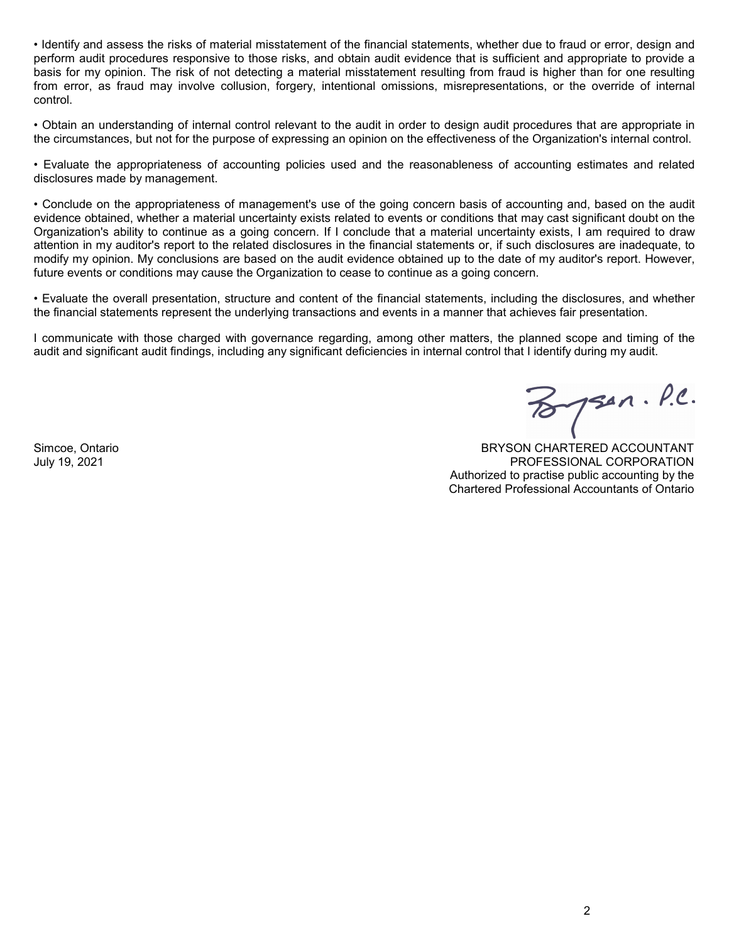• Identify and assess the risks of material misstatement of the financial statements, whether due to fraud or error, design and perform audit procedures responsive to those risks, and obtain audit evidence that is sufficient and appropriate to provide a basis for my opinion. The risk of not detecting a material misstatement resulting from fraud is higher than for one resulting from error, as fraud may involve collusion, forgery, intentional omissions, misrepresentations, or the override of internal control.

• Obtain an understanding of internal control relevant to the audit in order to design audit procedures that are appropriate in the circumstances, but not for the purpose of expressing an opinion on the effectiveness of the Organization's internal control.

• Evaluate the appropriateness of accounting policies used and the reasonableness of accounting estimates and related disclosures made by management.

• Conclude on the appropriateness of management's use of the going concern basis of accounting and, based on the audit evidence obtained, whether a material uncertainty exists related to events or conditions that may cast significant doubt on the Organization's ability to continue as a going concern. If I conclude that a material uncertainty exists, I am required to draw attention in my auditor's report to the related disclosures in the financial statements or, if such disclosures are inadequate, to modify my opinion. My conclusions are based on the audit evidence obtained up to the date of my auditor's report. However, future events or conditions may cause the Organization to cease to continue as a going concern.

• Evaluate the overall presentation, structure and content of the financial statements, including the disclosures, and whether the financial statements represent the underlying transactions and events in a manner that achieves fair presentation.

I communicate with those charged with governance regarding, among other matters, the planned scope and timing of the audit and significant audit findings, including any significant deficiencies in internal control that I identify during my audit.

 $B$ psen. P.C.

Simcoe, Ontario July 19, 2021

BRYSON CHARTERED ACCOUNTANT PROFESSIONAL CORPORATION Authorized to practise public accounting by the Chartered Professional Accountants of Ontario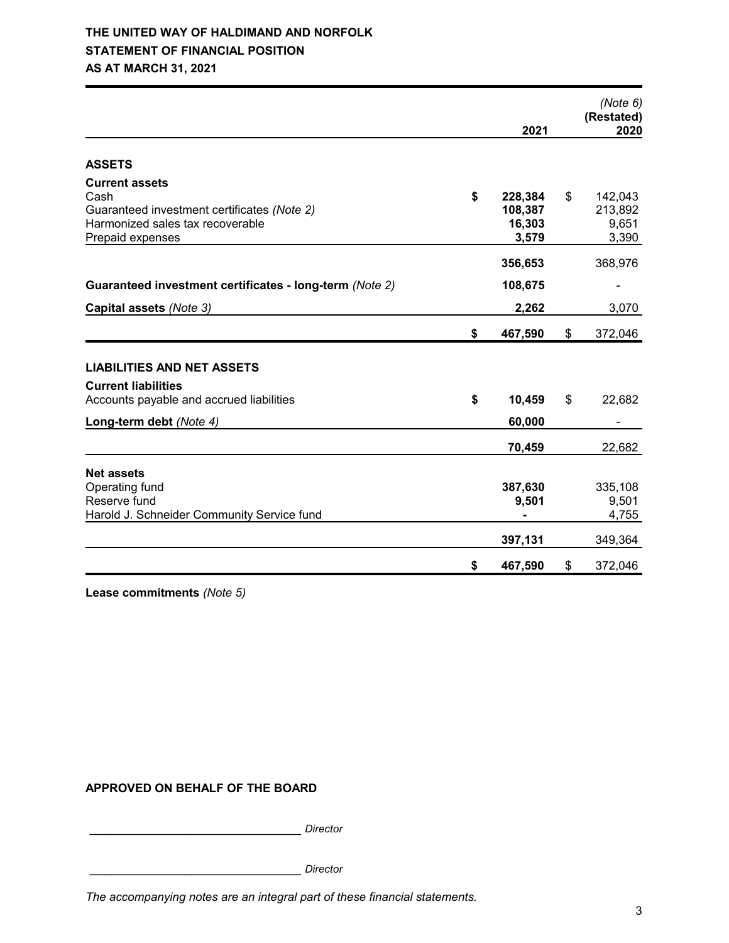# **THE UNITED WAY OF HALDIMAND AND NORFOLK STATEMENT OF FINANCIAL POSITION AS AT MARCH 31, 2021**

|                                                                                                                                      | 2021                                        | (Note 6)<br>(Restated)<br>2020             |
|--------------------------------------------------------------------------------------------------------------------------------------|---------------------------------------------|--------------------------------------------|
| <b>ASSETS</b>                                                                                                                        |                                             |                                            |
| <b>Current assets</b><br>Cash<br>Guaranteed investment certificates (Note 2)<br>Harmonized sales tax recoverable<br>Prepaid expenses | \$<br>228,384<br>108,387<br>16,303<br>3,579 | \$<br>142,043<br>213,892<br>9,651<br>3,390 |
|                                                                                                                                      | 356,653                                     | 368,976                                    |
| Guaranteed investment certificates - long-term (Note 2)                                                                              | 108,675                                     |                                            |
| Capital assets (Note 3)                                                                                                              | 2,262                                       | 3,070                                      |
|                                                                                                                                      | \$<br>467,590                               | \$<br>372,046                              |
| <b>LIABILITIES AND NET ASSETS</b>                                                                                                    |                                             |                                            |
| <b>Current liabilities</b>                                                                                                           |                                             |                                            |
| Accounts payable and accrued liabilities                                                                                             | \$<br>10,459                                | \$<br>22,682                               |
| Long-term debt (Note 4)                                                                                                              | 60,000                                      |                                            |
|                                                                                                                                      | 70,459                                      | 22,682                                     |
| <b>Net assets</b><br>Operating fund<br>Reserve fund<br>Harold J. Schneider Community Service fund                                    | 387,630<br>9,501                            | 335,108<br>9,501<br>4,755                  |
|                                                                                                                                      | 397,131                                     | 349,364                                    |
|                                                                                                                                      | \$<br>467,590                               | \$<br>372,046                              |

**Lease commitments** *(Note 5)*

## **APPROVED ON BEHALF OF THE BOARD**

\_\_\_\_\_\_\_\_\_\_\_\_\_\_\_\_\_\_\_\_\_\_\_\_\_\_\_\_\_ *Director*

\_\_\_\_\_\_\_\_\_\_\_\_\_\_\_\_\_\_\_\_\_\_\_\_\_\_\_\_\_ *Director*

*The accompanying notes are an integral part of these financial statements.*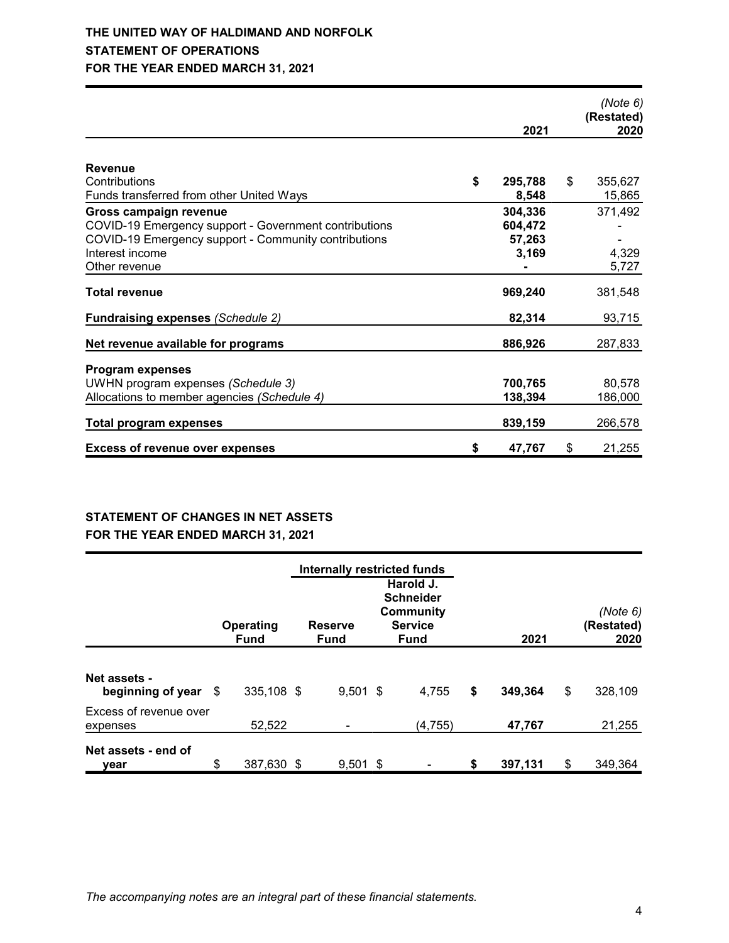|                                                       | 2021          | (Note 6)<br>(Restated)<br>2020 |
|-------------------------------------------------------|---------------|--------------------------------|
|                                                       |               |                                |
| <b>Revenue</b>                                        |               |                                |
| Contributions                                         | \$<br>295,788 | \$<br>355,627                  |
| Funds transferred from other United Ways              | 8,548         | 15,865                         |
| Gross campaign revenue                                | 304,336       | 371,492                        |
| COVID-19 Emergency support - Government contributions | 604,472       |                                |
| COVID-19 Emergency support - Community contributions  | 57,263        |                                |
| Interest income                                       | 3,169         | 4,329                          |
| Other revenue                                         |               | 5,727                          |
| <b>Total revenue</b>                                  | 969,240       | 381,548                        |
| <b>Fundraising expenses (Schedule 2)</b>              | 82,314        | 93,715                         |
| Net revenue available for programs                    | 886,926       | 287,833                        |
|                                                       |               |                                |
| <b>Program expenses</b>                               |               |                                |
| UWHN program expenses (Schedule 3)                    | 700,765       | 80,578                         |
| Allocations to member agencies (Schedule 4)           | 138,394       | 186,000                        |
| <b>Total program expenses</b>                         | 839,159       | 266,578                        |
| <b>Excess of revenue over expenses</b>                | \$<br>47,767  | \$<br>21,255                   |

## **STATEMENT OF CHANGES IN NET ASSETS FOR THE YEAR ENDED MARCH 31, 2021**

|                                             |    | Operating<br><b>Fund</b> | <b>Reserve</b><br>Fund |            | Internally restricted funds<br>Harold J.<br><b>Schneider</b><br><b>Community</b><br><b>Service</b><br><b>Fund</b> |          | 2021          | (Note 6)<br>(Restated)<br>2020 |  |
|---------------------------------------------|----|--------------------------|------------------------|------------|-------------------------------------------------------------------------------------------------------------------|----------|---------------|--------------------------------|--|
| <b>Net assets -</b><br>beginning of year \$ |    | 335,108 \$               |                        | $9,501$ \$ |                                                                                                                   | 4,755    | \$<br>349,364 | \$<br>328,109                  |  |
| Excess of revenue over<br>expenses          |    | 52,522                   |                        |            |                                                                                                                   | (4, 755) | 47,767        | 21,255                         |  |
| Net assets - end of<br>vear                 | \$ | 387,630 \$               |                        | $9,501$ \$ |                                                                                                                   |          | \$<br>397,131 | \$<br>349,364                  |  |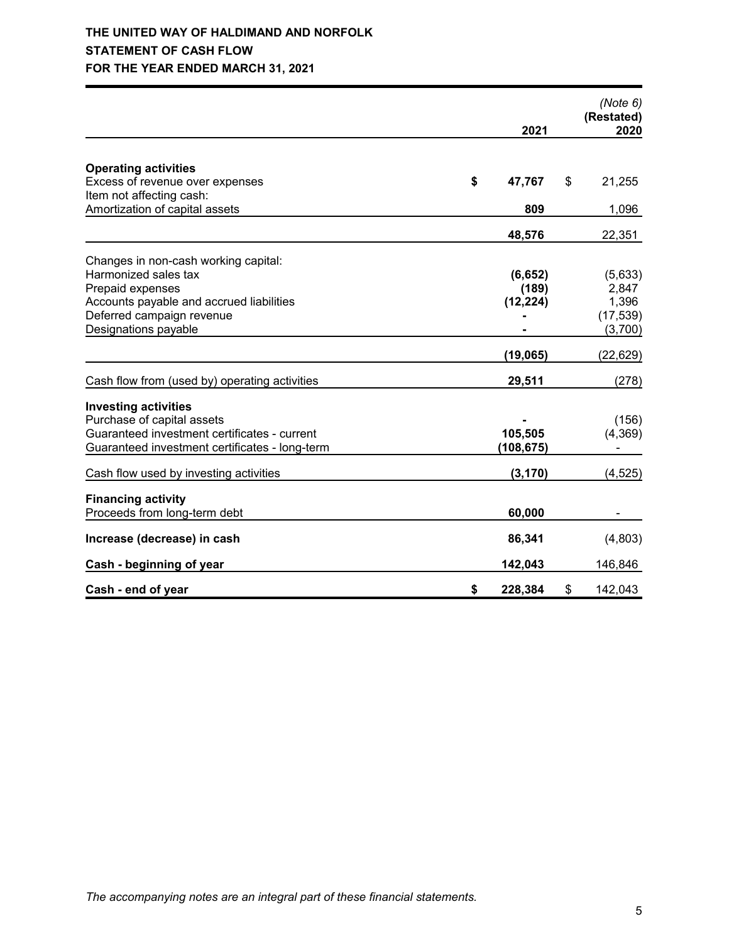# **THE UNITED WAY OF HALDIMAND AND NORFOLK STATEMENT OF CASH FLOW FOR THE YEAR ENDED MARCH 31, 2021**

|                                                            |               | (Note 6)<br>(Restated) |
|------------------------------------------------------------|---------------|------------------------|
|                                                            | 2021          | 2020                   |
|                                                            |               |                        |
| <b>Operating activities</b>                                |               |                        |
| Excess of revenue over expenses                            | \$<br>47,767  | \$<br>21,255           |
| Item not affecting cash:<br>Amortization of capital assets | 809           |                        |
|                                                            |               | 1,096                  |
|                                                            | 48,576        | 22,351                 |
| Changes in non-cash working capital:                       |               |                        |
| Harmonized sales tax                                       | (6, 652)      | (5,633)                |
| Prepaid expenses                                           | (189)         | 2,847                  |
| Accounts payable and accrued liabilities                   | (12, 224)     | 1,396                  |
| Deferred campaign revenue                                  |               | (17, 539)              |
| Designations payable                                       |               | (3,700)                |
|                                                            | (19, 065)     | (22, 629)              |
| Cash flow from (used by) operating activities              | 29,511        | (278)                  |
|                                                            |               |                        |
| <b>Investing activities</b>                                |               |                        |
| Purchase of capital assets                                 |               | (156)                  |
| Guaranteed investment certificates - current               | 105,505       | (4, 369)               |
| Guaranteed investment certificates - long-term             | (108, 675)    |                        |
| Cash flow used by investing activities                     | (3, 170)      | (4, 525)               |
| <b>Financing activity</b>                                  |               |                        |
| Proceeds from long-term debt                               | 60,000        |                        |
|                                                            |               |                        |
| Increase (decrease) in cash                                | 86,341        | (4,803)                |
| Cash - beginning of year                                   | 142,043       | 146,846                |
| Cash - end of year                                         | \$<br>228,384 | \$<br>142,043          |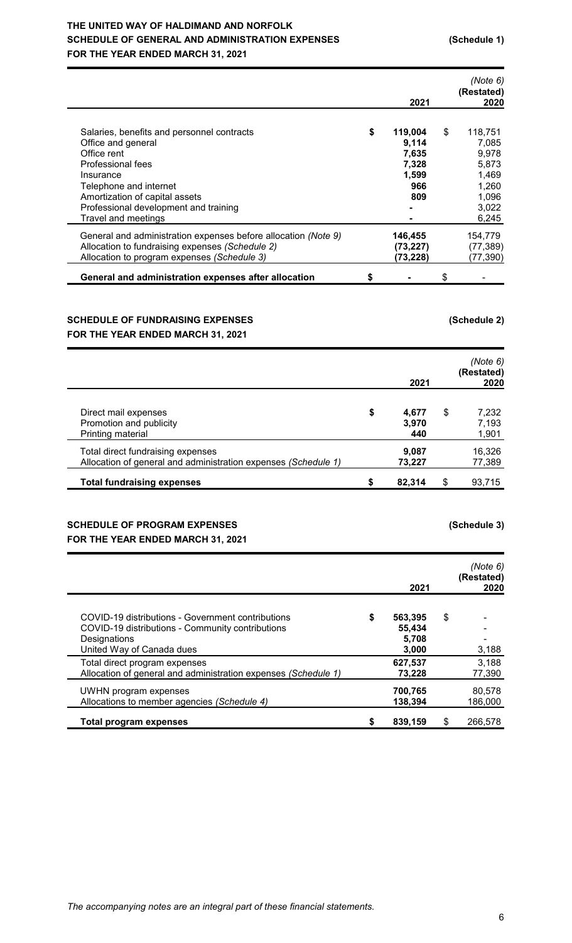# **THE UNITED WAY OF HALDIMAND AND NORFOLK SCHEDULE OF GENERAL AND ADMINISTRATION EXPENSES (Schedule 1) FOR THE YEAR ENDED MARCH 31, 2021**

|                                                                                                                                                                                                                                                 | 2021                                                            | (Note 6)<br>(Restated)<br>2020                                               |
|-------------------------------------------------------------------------------------------------------------------------------------------------------------------------------------------------------------------------------------------------|-----------------------------------------------------------------|------------------------------------------------------------------------------|
| Salaries, benefits and personnel contracts<br>Office and general<br>Office rent<br>Professional fees<br>Insurance<br>Telephone and internet<br>Amortization of capital assets<br>Professional development and training                          | \$<br>119,004<br>9,114<br>7,635<br>7,328<br>1,599<br>966<br>809 | \$<br>118,751<br>7,085<br>9,978<br>5,873<br>1,469<br>1,260<br>1,096<br>3,022 |
| Travel and meetings<br>General and administration expenses before allocation (Note 9)<br>Allocation to fundraising expenses (Schedule 2)<br>Allocation to program expenses (Schedule 3)<br>General and administration expenses after allocation | 146,455<br>(73, 227)<br>(73,228)                                | \$<br>6,245<br>154,779<br>(77, 389)<br>(77, 390)                             |

# **SCHEDULE OF FUNDRAISING EXPENSES (Schedule 2) FOR THE YEAR ENDED MARCH 31, 2021**

|                                                                                                     |    | 2021                  |    | (Note 6)<br>(Restated)<br>2020 |
|-----------------------------------------------------------------------------------------------------|----|-----------------------|----|--------------------------------|
| Direct mail expenses<br>Promotion and publicity<br>Printing material                                | \$ | 4,677<br>3,970<br>440 | S  | 7,232<br>7,193<br>1,901        |
| Total direct fundraising expenses<br>Allocation of general and administration expenses (Schedule 1) |    | 9,087<br>73,227       |    | 16,326<br>77,389               |
| <b>Total fundraising expenses</b>                                                                   | S  | 82,314                | \$ | 93,715                         |

# **SCHEDULE OF PROGRAM EXPENSES (Schedule 3) FOR THE YEAR ENDED MARCH 31, 2021**

|                                                                                                                                                    |    | 2021                                | (Note 6)<br>(Restated)<br>2020 |
|----------------------------------------------------------------------------------------------------------------------------------------------------|----|-------------------------------------|--------------------------------|
| COVID-19 distributions - Government contributions<br>COVID-19 distributions - Community contributions<br>Designations<br>United Way of Canada dues | \$ | 563,395<br>55,434<br>5.708<br>3,000 | \$<br>3,188                    |
| Total direct program expenses<br>Allocation of general and administration expenses (Schedule 1)                                                    |    | 627,537<br>73.228                   | 3,188<br>77,390                |
| UWHN program expenses<br>Allocations to member agencies (Schedule 4)                                                                               |    | 700,765<br>138,394                  | 80,578<br>186,000              |
| Total program expenses                                                                                                                             | S  | 839,159                             | \$<br>266,578                  |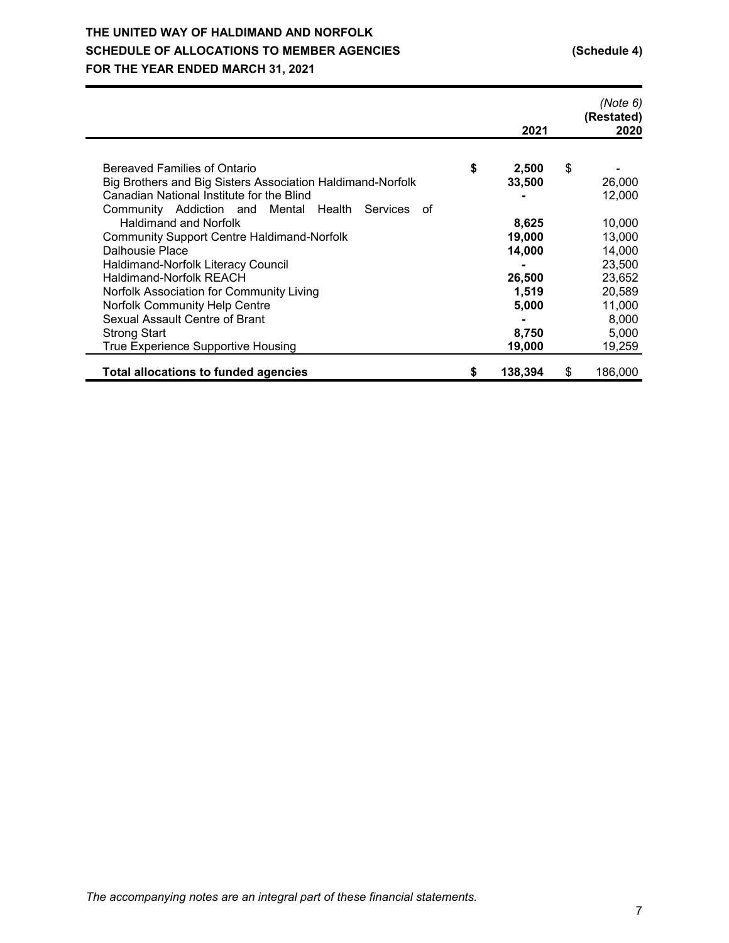# **THE UNITED WAY OF HALDIMAND AND NORFOLK SCHEDULE OF ALLOCATIONS TO MEMBER AGENCIES (Schedule 4) FOR THE YEAR ENDED MARCH 31, 2021**

|                                                                                                         | 2021          | (Note 6)<br>(Restated)<br>2020 |
|---------------------------------------------------------------------------------------------------------|---------------|--------------------------------|
| Bereaved Families of Ontario                                                                            |               |                                |
|                                                                                                         | \$<br>2,500   | \$                             |
| Big Brothers and Big Sisters Association Haldimand-Norfolk<br>Canadian National Institute for the Blind | 33,500        | 26,000<br>12,000               |
| Community Addiction and Mental Health Services<br>οf                                                    |               |                                |
| <b>Haldimand and Norfolk</b>                                                                            | 8,625         | 10,000                         |
|                                                                                                         |               |                                |
| <b>Community Support Centre Haldimand-Norfolk</b>                                                       | 19,000        | 13,000                         |
| Dalhousie Place                                                                                         | 14,000        | 14,000                         |
| Haldimand-Norfolk Literacy Council                                                                      |               | 23,500                         |
| <b>Haldimand-Norfolk REACH</b>                                                                          | 26,500        | 23,652                         |
| Norfolk Association for Community Living                                                                | 1,519         | 20,589                         |
| Norfolk Community Help Centre                                                                           | 5,000         | 11,000                         |
| Sexual Assault Centre of Brant                                                                          |               | 8,000                          |
| <b>Strong Start</b>                                                                                     | 8,750         | 5,000                          |
| True Experience Supportive Housing                                                                      | 19,000        | 19,259                         |
|                                                                                                         |               |                                |
| <b>Total allocations to funded agencies</b>                                                             | \$<br>138,394 | \$<br>186,000                  |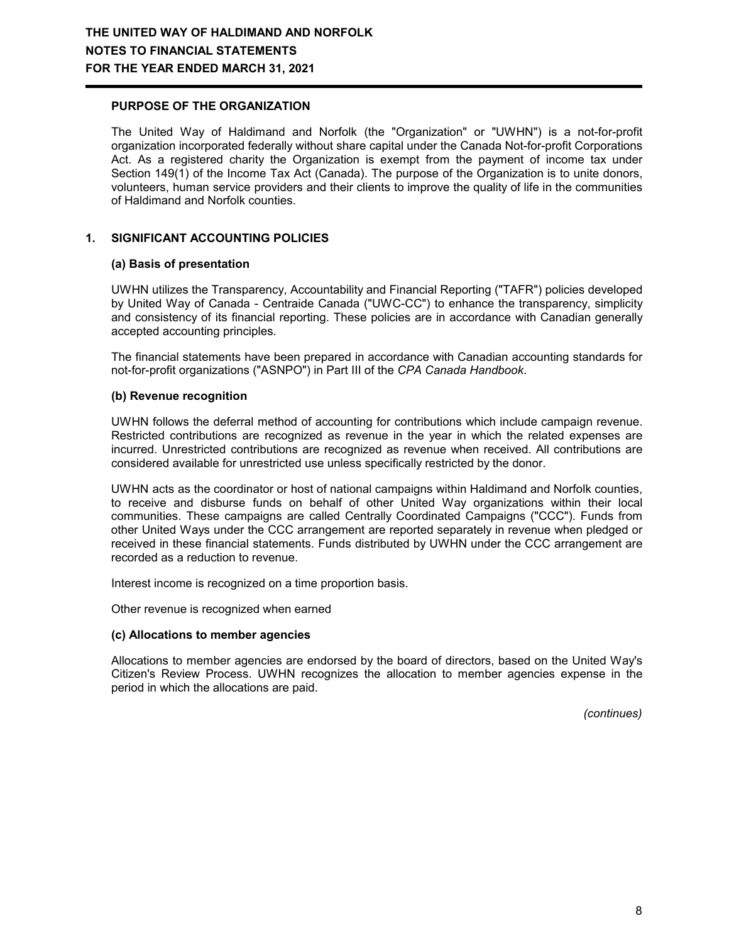### **PURPOSE OF THE ORGANIZATION**

The United Way of Haldimand and Norfolk (the "Organization" or "UWHN") is a not-for-profit organization incorporated federally without share capital under the Canada Not-for-profit Corporations Act. As a registered charity the Organization is exempt from the payment of income tax under Section 149(1) of the Income Tax Act (Canada). The purpose of the Organization is to unite donors, volunteers, human service providers and their clients to improve the quality of life in the communities of Haldimand and Norfolk counties.

## **1. SIGNIFICANT ACCOUNTING POLICIES**

#### **(a) Basis of presentation**

UWHN utilizes the Transparency, Accountability and Financial Reporting ("TAFR") policies developed by United Way of Canada - Centraide Canada ("UWC-CC") to enhance the transparency, simplicity and consistency of its financial reporting. These policies are in accordance with Canadian generally accepted accounting principles.

The financial statements have been prepared in accordance with Canadian accounting standards for not-for-profit organizations ("ASNPO") in Part III of the *CPA Canada Handbook*.

## **(b) Revenue recognition**

UWHN follows the deferral method of accounting for contributions which include campaign revenue. Restricted contributions are recognized as revenue in the year in which the related expenses are incurred. Unrestricted contributions are recognized as revenue when received. All contributions are considered available for unrestricted use unless specifically restricted by the donor.

UWHN acts as the coordinator or host of national campaigns within Haldimand and Norfolk counties, to receive and disburse funds on behalf of other United Way organizations within their local communities. These campaigns are called Centrally Coordinated Campaigns ("CCC"). Funds from other United Ways under the CCC arrangement are reported separately in revenue when pledged or received in these financial statements. Funds distributed by UWHN under the CCC arrangement are recorded as a reduction to revenue.

Interest income is recognized on a time proportion basis.

Other revenue is recognized when earned

#### **(c) Allocations to member agencies**

Allocations to member agencies are endorsed by the board of directors, based on the United Way's Citizen's Review Process. UWHN recognizes the allocation to member agencies expense in the period in which the allocations are paid.

*(continues)*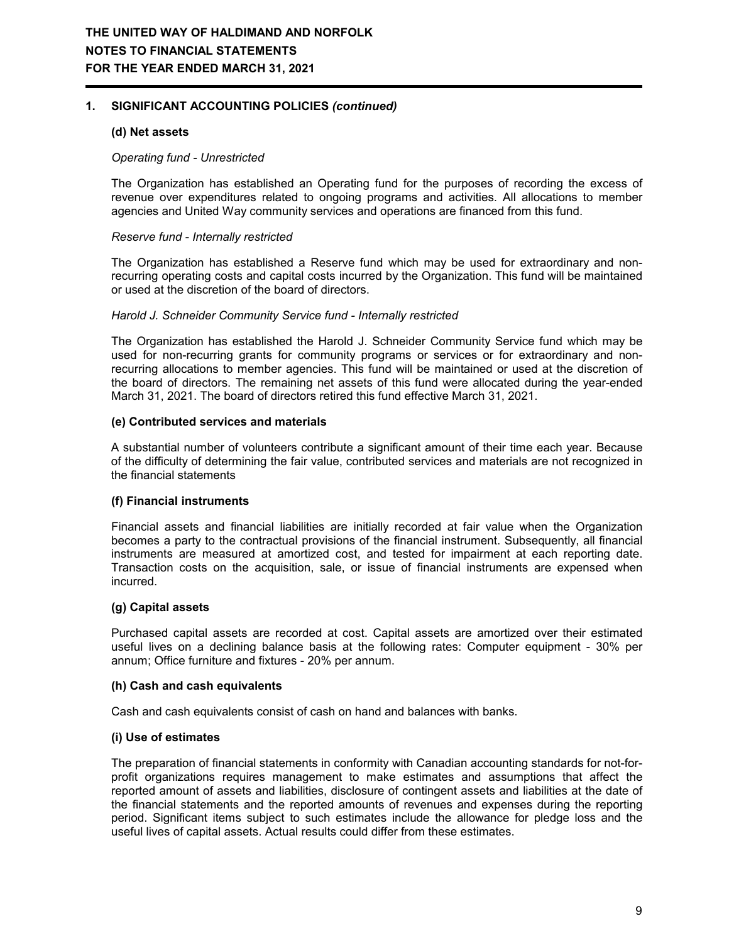## **1. SIGNIFICANT ACCOUNTING POLICIES** *(continued)*

### **(d) Net assets**

#### *Operating fund - Unrestricted*

The Organization has established an Operating fund for the purposes of recording the excess of revenue over expenditures related to ongoing programs and activities. All allocations to member agencies and United Way community services and operations are financed from this fund.

#### *Reserve fund - Internally restricted*

The Organization has established a Reserve fund which may be used for extraordinary and nonrecurring operating costs and capital costs incurred by the Organization. This fund will be maintained or used at the discretion of the board of directors.

#### *Harold J. Schneider Community Service fund - Internally restricted*

The Organization has established the Harold J. Schneider Community Service fund which may be used for non-recurring grants for community programs or services or for extraordinary and nonrecurring allocations to member agencies. This fund will be maintained or used at the discretion of the board of directors. The remaining net assets of this fund were allocated during the year-ended March 31, 2021. The board of directors retired this fund effective March 31, 2021.

#### **(e) Contributed services and materials**

A substantial number of volunteers contribute a significant amount of their time each year. Because of the difficulty of determining the fair value, contributed services and materials are not recognized in the financial statements

#### **(f) Financial instruments**

Financial assets and financial liabilities are initially recorded at fair value when the Organization becomes a party to the contractual provisions of the financial instrument. Subsequently, all financial instruments are measured at amortized cost, and tested for impairment at each reporting date. Transaction costs on the acquisition, sale, or issue of financial instruments are expensed when incurred.

#### **(g) Capital assets**

Purchased capital assets are recorded at cost. Capital assets are amortized over their estimated useful lives on a declining balance basis at the following rates: Computer equipment - 30% per annum; Office furniture and fixtures - 20% per annum.

#### **(h) Cash and cash equivalents**

Cash and cash equivalents consist of cash on hand and balances with banks.

#### **(i) Use of estimates**

The preparation of financial statements in conformity with Canadian accounting standards for not-forprofit organizations requires management to make estimates and assumptions that affect the reported amount of assets and liabilities, disclosure of contingent assets and liabilities at the date of the financial statements and the reported amounts of revenues and expenses during the reporting period. Significant items subject to such estimates include the allowance for pledge loss and the useful lives of capital assets. Actual results could differ from these estimates.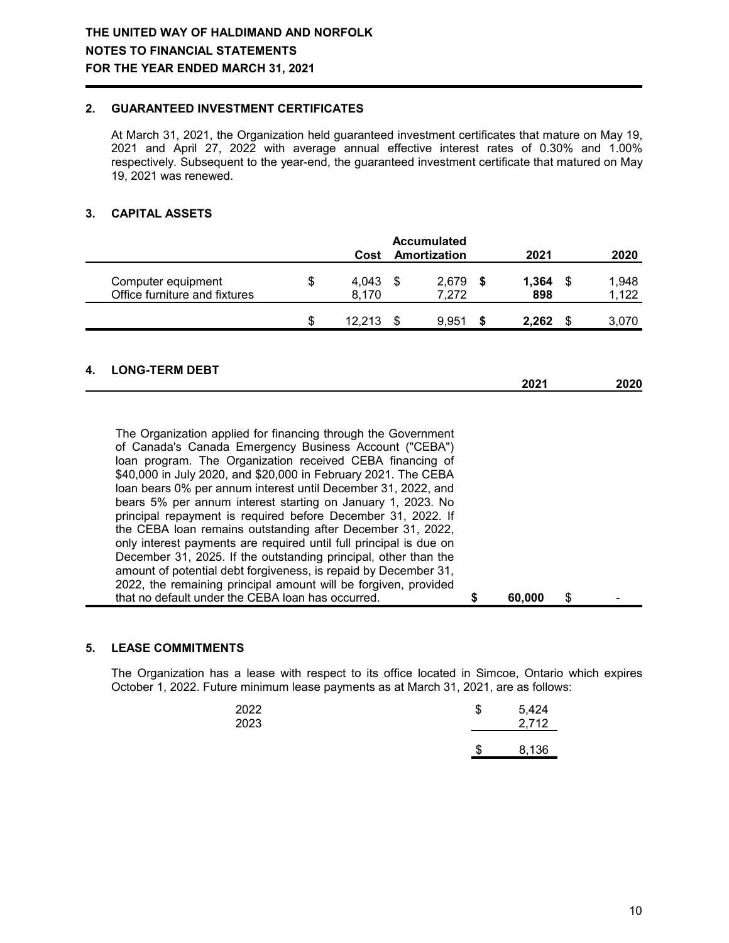## **2. GUARANTEED INVESTMENT CERTIFICATES**

At March 31, 2021, the Organization held guaranteed investment certificates that mature on May 19, 2021 and April 27, 2022 with average annual effective interest rates of 0.30% and 1.00% respectively. Subsequent to the year-end, the guaranteed investment certificate that matured on May 19, 2021 was renewed.

## **3. CAPITAL ASSETS**

|                                                     | Cost                 |      | <b>Accumulated</b><br>Amortization | 2021         | 2020           |
|-----------------------------------------------------|----------------------|------|------------------------------------|--------------|----------------|
| Computer equipment<br>Office furniture and fixtures | \$<br>4,043<br>8,170 | - \$ | 2,679<br>7.272                     | 1,364<br>898 | 1,948<br>1,122 |
|                                                     | \$<br>12.213         |      | 9.951                              | 2.262        | 3.070          |

## **4. LONG-TERM DEBT**

|  |  | 2021 | 2020 |
|--|--|------|------|
|  |  |      |      |
|  |  |      |      |
|  |  |      |      |

| The Organization applied for financing through the Government      |        |   |  |
|--------------------------------------------------------------------|--------|---|--|
| of Canada's Canada Emergency Business Account ("CEBA")             |        |   |  |
| loan program. The Organization received CEBA financing of          |        |   |  |
| \$40,000 in July 2020, and \$20,000 in February 2021. The CEBA     |        |   |  |
| loan bears 0% per annum interest until December 31, 2022, and      |        |   |  |
| bears 5% per annum interest starting on January 1, 2023. No        |        |   |  |
| principal repayment is required before December 31, 2022. If       |        |   |  |
| the CEBA loan remains outstanding after December 31, 2022,         |        |   |  |
| only interest payments are required until full principal is due on |        |   |  |
| December 31, 2025. If the outstanding principal, other than the    |        |   |  |
| amount of potential debt forgiveness, is repaid by December 31,    |        |   |  |
| 2022, the remaining principal amount will be forgiven, provided    |        |   |  |
| that no default under the CEBA loan has occurred.                  | 60,000 | S |  |

### **5. LEASE COMMITMENTS**

The Organization has a lease with respect to its office located in Simcoe, Ontario which expires October 1, 2022. Future minimum lease payments as at March 31, 2021, are as follows:

| 2022<br>2023 | S | 5,424<br>2,712 |
|--------------|---|----------------|
|              | Œ | 8,136          |
|              |   |                |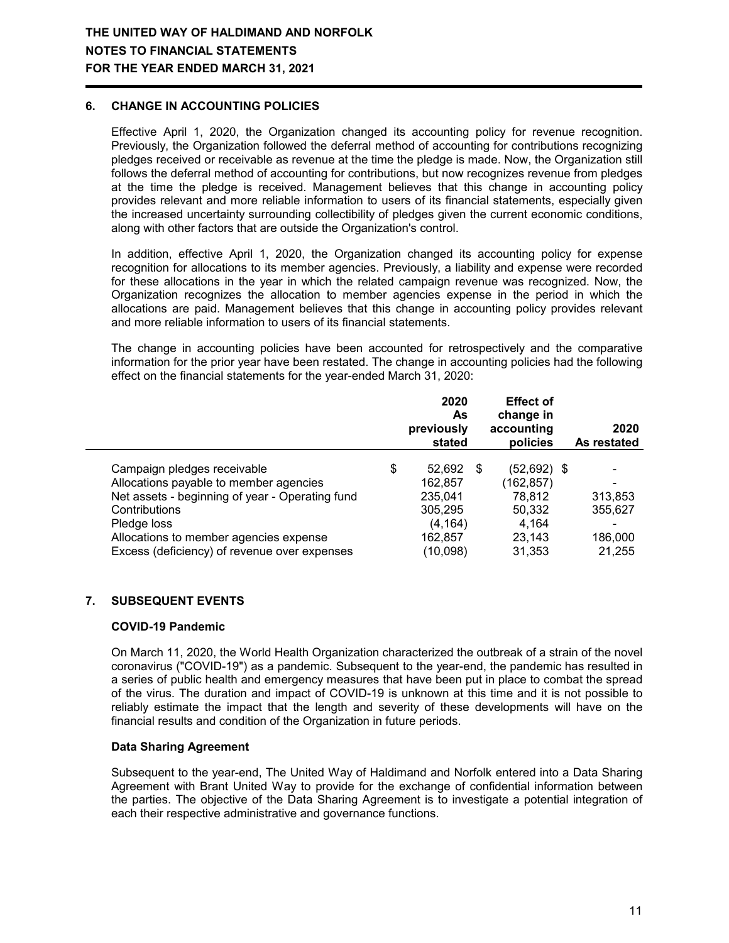## **6. CHANGE IN ACCOUNTING POLICIES**

Effective April 1, 2020, the Organization changed its accounting policy for revenue recognition. Previously, the Organization followed the deferral method of accounting for contributions recognizing pledges received or receivable as revenue at the time the pledge is made. Now, the Organization still follows the deferral method of accounting for contributions, but now recognizes revenue from pledges at the time the pledge is received. Management believes that this change in accounting policy provides relevant and more reliable information to users of its financial statements, especially given the increased uncertainty surrounding collectibility of pledges given the current economic conditions, along with other factors that are outside the Organization's control.

In addition, effective April 1, 2020, the Organization changed its accounting policy for expense recognition for allocations to its member agencies. Previously, a liability and expense were recorded for these allocations in the year in which the related campaign revenue was recognized. Now, the Organization recognizes the allocation to member agencies expense in the period in which the allocations are paid. Management believes that this change in accounting policy provides relevant and more reliable information to users of its financial statements.

The change in accounting policies have been accounted for retrospectively and the comparative information for the prior year have been restated. The change in accounting policies had the following effect on the financial statements for the year-ended March 31, 2020:

|                                                                                                                                                                                                    | 2020<br>As<br>previously<br>stated                                   |   | <b>Effect of</b><br>change in<br>accounting<br>policies         | 2020<br>As restated                |
|----------------------------------------------------------------------------------------------------------------------------------------------------------------------------------------------------|----------------------------------------------------------------------|---|-----------------------------------------------------------------|------------------------------------|
| Campaign pledges receivable<br>Allocations payable to member agencies<br>Net assets - beginning of year - Operating fund<br>Contributions<br>Pledge loss<br>Allocations to member agencies expense | \$<br>52,692<br>162.857<br>235,041<br>305,295<br>(4, 164)<br>162,857 | S | (52,692) \$<br>(162,857)<br>78,812<br>50,332<br>4.164<br>23.143 | ۰<br>313,853<br>355,627<br>186,000 |
| Excess (deficiency) of revenue over expenses                                                                                                                                                       | (10,098)                                                             |   | 31,353                                                          | 21.255                             |

## **7. SUBSEQUENT EVENTS**

#### **COVID-19 Pandemic**

On March 11, 2020, the World Health Organization characterized the outbreak of a strain of the novel coronavirus ("COVID-19") as a pandemic. Subsequent to the year-end, the pandemic has resulted in a series of public health and emergency measures that have been put in place to combat the spread of the virus. The duration and impact of COVID-19 is unknown at this time and it is not possible to reliably estimate the impact that the length and severity of these developments will have on the financial results and condition of the Organization in future periods.

#### **Data Sharing Agreement**

Subsequent to the year-end, The United Way of Haldimand and Norfolk entered into a Data Sharing Agreement with Brant United Way to provide for the exchange of confidential information between the parties. The objective of the Data Sharing Agreement is to investigate a potential integration of each their respective administrative and governance functions.